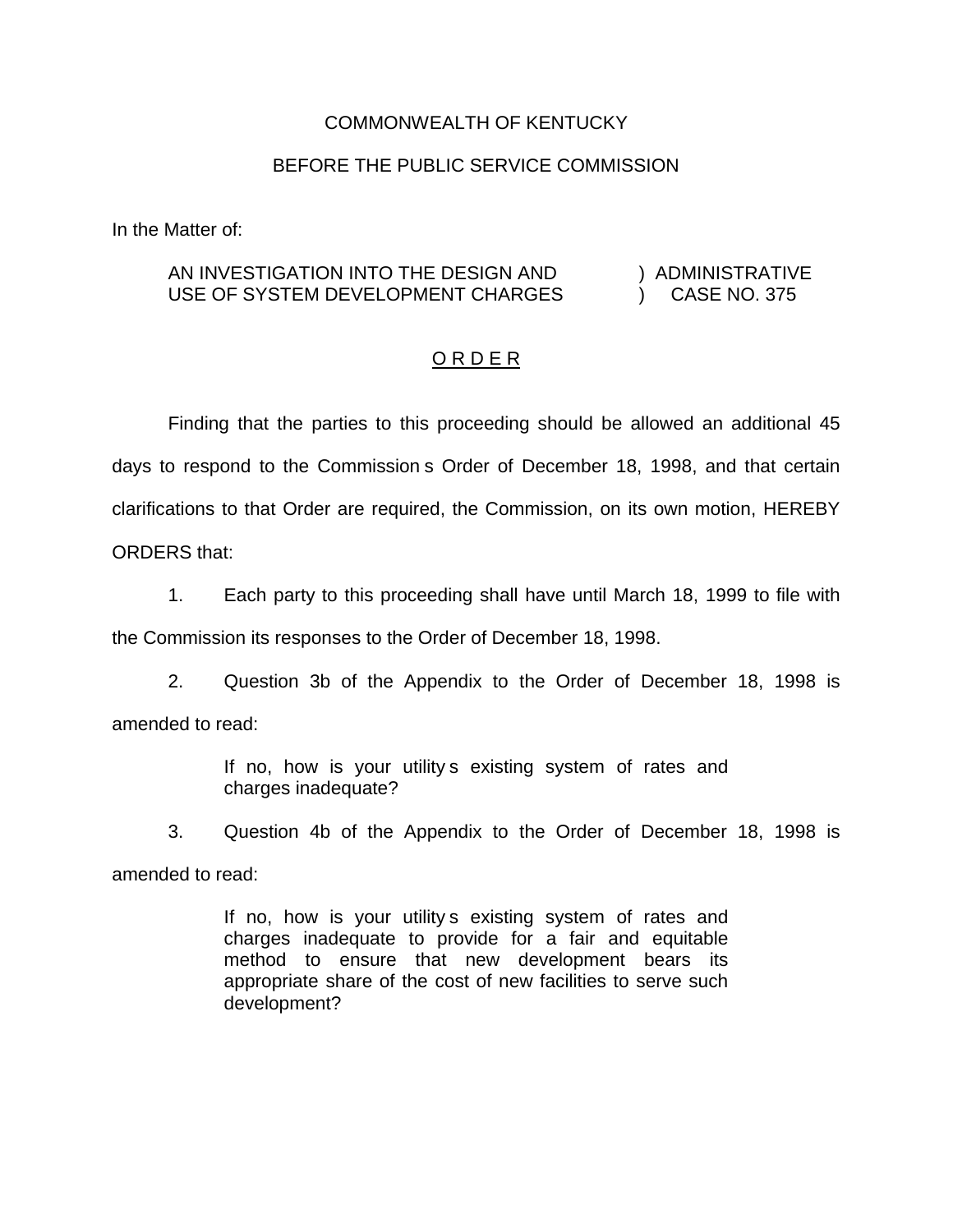## COMMONWEALTH OF KENTUCKY

## BEFORE THE PUBLIC SERVICE COMMISSION

In the Matter of:

## AN INVESTIGATION INTO THE DESIGN AND USE OF SYSTEM DEVELOPMENT CHARGES ) ADMINISTRATIVE ) CASE NO. 375

## ORDER

Finding that the parties to this proceeding should be allowed an additional 45 days to respond to the Commission s Order of December 18, 1998, and that certain clarifications to that Order are required, the Commission, on its own motion, HEREBY ORDERS that:

1. Each party to this proceeding shall have until March 18, 1999 to file with the Commission its responses to the Order of December 18, 1998.

2. Question 3b of the Appendix to the Order of December 18, 1998 is amended to read:

> If no, how is your utility s existing system of rates and charges inadequate?

3. Question 4b of the Appendix to the Order of December 18, 1998 is amended to read:

> If no, how is your utility s existing system of rates and charges inadequate to provide for a fair and equitable method to ensure that new development bears its appropriate share of the cost of new facilities to serve such development?